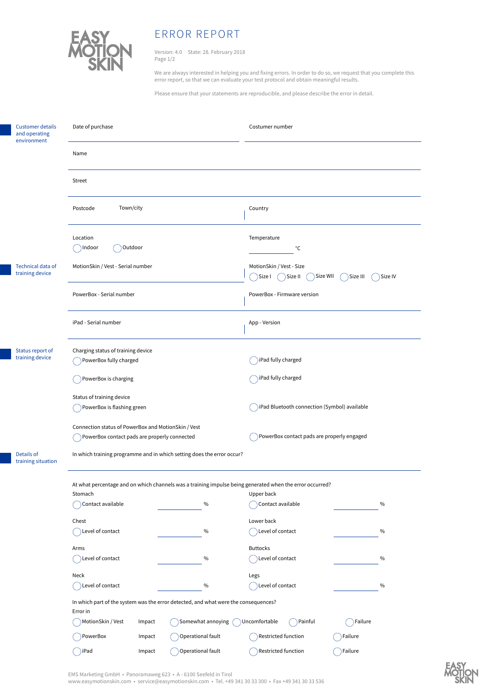

## ERROR REPORT

Version: 4.0 State: 28. February 2018 Page 1/2

We are always interested in helping you and fixing errors. In order to do so, we request that you complete this error report, so that we can evaluate your test protocol and obtain meaningful results.

Please ensure that your statements are reproducible, and please describe the error in detail.

| <b>Customer details</b><br>and operating<br>environment | Date of purchase                                                                                                    |        |                   | Costumer number                                                                   |         |
|---------------------------------------------------------|---------------------------------------------------------------------------------------------------------------------|--------|-------------------|-----------------------------------------------------------------------------------|---------|
|                                                         | Name                                                                                                                |        |                   |                                                                                   |         |
|                                                         | Street                                                                                                              |        |                   |                                                                                   |         |
|                                                         | Town/city<br>Postcode                                                                                               |        |                   | Country                                                                           |         |
|                                                         | Location<br>Outdoor<br>Indoor                                                                                       |        |                   | Temperature<br>°C                                                                 |         |
| Technical data of<br>training device                    | MotionSkin / Vest - Serial number                                                                                   |        |                   | MotionSkin / Vest - Size<br>Size WII<br>Size I<br>Size II<br>Size III<br>Size IV) |         |
|                                                         | PowerBox - Serial number                                                                                            |        |                   | PowerBox - Firmware version                                                       |         |
|                                                         | iPad - Serial number                                                                                                |        |                   | App - Version                                                                     |         |
| Status report of<br>training device                     | Charging status of training device<br>PowerBox fully charged                                                        |        |                   | ) iPad fully charged                                                              |         |
|                                                         | PowerBox is charging                                                                                                |        |                   | iPad fully charged                                                                |         |
|                                                         | Status of training device<br>PowerBox is flashing green                                                             |        |                   | iPad Bluetooth connection (Symbol) available                                      |         |
|                                                         | Connection status of PowerBox and MotionSkin / Vest<br>PowerBox contact pads are properly connected                 |        |                   | PowerBox contact pads are properly engaged                                        |         |
| Details of<br>training situation                        | In which training programme and in which setting does the error occur?                                              |        |                   |                                                                                   |         |
|                                                         | At what percentage and on which channels was a training impulse being generated when the error occurred?<br>Stomach |        |                   | Upper back                                                                        |         |
|                                                         | Contact available                                                                                                   |        | $\%$              | Contact available                                                                 | $\%$    |
|                                                         | Chest                                                                                                               |        |                   | Lower back                                                                        |         |
|                                                         | Level of contact                                                                                                    |        | $\%$              | $($ $)$ Level of contact                                                          | $\%$    |
|                                                         | Arms                                                                                                                |        |                   | <b>Buttocks</b>                                                                   |         |
|                                                         | Level of contact                                                                                                    |        | $\%$              | Level of contact                                                                  | $\%$    |
|                                                         | Neck                                                                                                                |        |                   | Legs                                                                              |         |
|                                                         | $( )$ Level of contact<br>$\%$                                                                                      |        |                   | Level of contact                                                                  | $\%$    |
|                                                         | In which part of the system was the error detected, and what were the consequences?<br>Error in                     |        |                   |                                                                                   |         |
|                                                         | MotionSkin / Vest<br>Somewhat annoying<br>Impact                                                                    |        |                   | Painful<br>Uncomfortable<br>Failure                                               |         |
|                                                         | PowerBox                                                                                                            | Impact | Operational fault | Restricted function                                                               | Failure |
|                                                         | ()iPad                                                                                                              | Impact | Operational fault | Restricted function                                                               | Failure |

EMS Marketing GmbH • Panoramaweg 623 • A - 6100 Seefeld in Tirol

www.easymotionskin.com • service@easymotionskin.com • Tel. +49 341 30 33 300 • Fax +49 341 30 33 536

**RASYON**